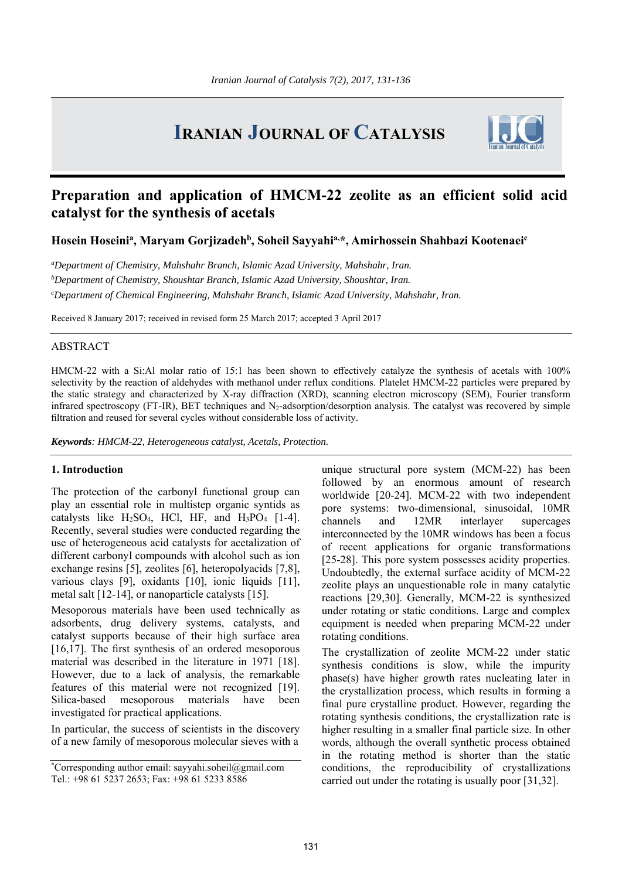# **IRANIAN JOURNAL OF CATALYSIS**



## **Preparation and application of HMCM-22 zeolite as an efficient solid acid catalyst for the synthesis of acetals**

Hosein Hoseini<sup>a</sup>, Maryam Gorjizadeh<sup>b</sup>, Soheil Sayyahi<sup>a,\*</sup>, Amirhossein Shahbazi Kootenaei<sup>c</sup>

*a Department of Chemistry, Mahshahr Branch, Islamic Azad University, Mahshahr, Iran. b Department of Chemistry, Shoushtar Branch, Islamic Azad University, Shoushtar, Iran. c Department of Chemical Engineering, Mahshahr Branch, Islamic Azad University, Mahshahr, Iran.*

Received 8 January 2017; received in revised form 25 March 2017; accepted 3 April 2017

#### ABSTRACT

HMCM-22 with a Si:Al molar ratio of 15:1 has been shown to effectively catalyze the synthesis of acetals with 100% selectivity by the reaction of aldehydes with methanol under reflux conditions. Platelet HMCM-22 particles were prepared by the static strategy and characterized by X-ray diffraction (XRD), scanning electron microscopy (SEM), Fourier transform infrared spectroscopy (FT-IR), BET techniques and  $N_2$ -adsorption/desorption analysis. The catalyst was recovered by simple filtration and reused for several cycles without considerable loss of activity.

*Keywords: HMCM-22, Heterogeneous catalyst, Acetals, Protection.* 

#### **1. Introduction**

The protection of the carbonyl functional group can play an essential role in multistep organic syntids as catalysts like  $H_2SO_4$ , HCl, HF, and  $H_3PO_4$  [1-4]. Recently, several studies were conducted regarding the use of heterogeneous acid catalysts for acetalization of different carbonyl compounds with alcohol such as ion exchange resins [5], zeolites [6], heteropolyacids [7,8], various clays [9], oxidants [10], ionic liquids [11], metal salt [12-14], or nanoparticle catalysts [15].

Mesoporous materials have been used technically as adsorbents, drug delivery systems, catalysts, and catalyst supports because of their high surface area [16,17]. The first synthesis of an ordered mesoporous material was described in the literature in 1971 [18]. However, due to a lack of analysis, the remarkable features of this material were not recognized [19]. Silica-based mesoporous materials have been investigated for practical applications.

In particular, the success of scientists in the discovery of a new family of mesoporous molecular sieves with a

unique structural pore system (MCM-22) has been followed by an enormous amount of research worldwide [20-24]. MCM-22 with two independent pore systems: two-dimensional, sinusoidal, 10MR channels and 12MR interlayer supercages interconnected by the 10MR windows has been a focus of recent applications for organic transformations [25-28]. This pore system possesses acidity properties. Undoubtedly, the external surface acidity of MCM-22 zeolite plays an unquestionable role in many catalytic reactions [29,30]. Generally, MCM-22 is synthesized under rotating or static conditions. Large and complex equipment is needed when preparing MCM-22 under rotating conditions.

The crystallization of zeolite MCM-22 under static synthesis conditions is slow, while the impurity phase(s) have higher growth rates nucleating later in the crystallization process, which results in forming a final pure crystalline product. However, regarding the rotating synthesis conditions, the crystallization rate is higher resulting in a smaller final particle size. In other words, although the overall synthetic process obtained in the rotating method is shorter than the static conditions, the reproducibility of crystallizations carried out under the rotating is usually poor [31,32].

<sup>\*</sup> Corresponding author email: sayyahi.soheil@gmail.com Tel.: +98 61 5237 2653; Fax: +98 61 5233 8586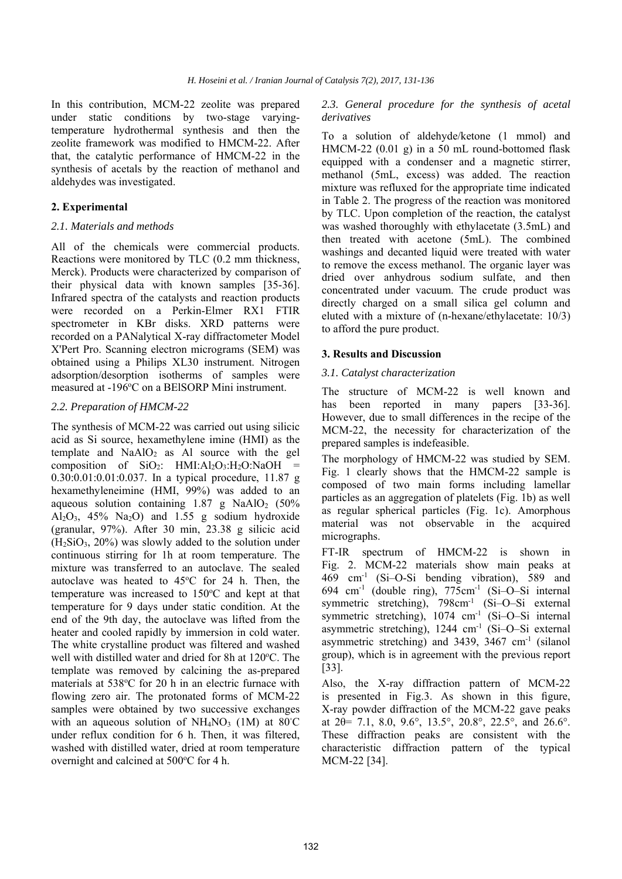In this contribution, MCM-22 zeolite was prepared under static conditions by two-stage varyingtemperature hydrothermal synthesis and then the zeolite framework was modified to HMCM-22. After that, the catalytic performance of HMCM-22 in the synthesis of acetals by the reaction of methanol and aldehydes was investigated.

## **2. Experimental**

#### *2.1. Materials and methods*

All of the chemicals were commercial products. Reactions were monitored by TLC (0.2 mm thickness, Merck). Products were characterized by comparison of their physical data with known samples [35-36]. Infrared spectra of the catalysts and reaction products were recorded on a Perkin-Elmer RX1 FTIR spectrometer in KBr disks. XRD patterns were recorded on a PANalytical X-ray diffractometer Model X'Pert Pro. Scanning electron micrograms (SEM) was obtained using a Philips XL30 instrument. Nitrogen adsorption/desorption isotherms of samples were measured at -196°C on a BEISORP Mini instrument.

#### *2.2. Preparation of HMCM-22*

The synthesis of MCM-22 was carried out using silicic acid as Si source, hexamethylene imine (HMI) as the template and  $NaAlO<sub>2</sub>$  as Al source with the gel composition of  $SiO_2$ : HMI:Al<sub>2</sub>O<sub>3</sub>:H<sub>2</sub>O:NaOH = 0.30:0.01:0.01:0.037. In a typical procedure, 11.87 g hexamethyleneimine (HMI, 99%) was added to an aqueous solution containing  $1.87$  g NaAlO<sub>2</sub> (50%) Al2O3, 45% Na2O) and 1.55 g sodium hydroxide (granular, 97%). After 30 min, 23.38 g silicic acid  $(H<sub>2</sub>SiO<sub>3</sub>, 20%)$  was slowly added to the solution under continuous stirring for 1h at room temperature. The mixture was transferred to an autoclave. The sealed autoclave was heated to 45°C for 24 h. Then, the temperature was increased to  $150^{\circ}$ C and kept at that temperature for 9 days under static condition. At the end of the 9th day, the autoclave was lifted from the heater and cooled rapidly by immersion in cold water. The white crystalline product was filtered and washed well with distilled water and dried for 8h at 120°C. The template was removed by calcining the as-prepared materials at 538°C for 20 h in an electric furnace with flowing zero air. The protonated forms of MCM-22 samples were obtained by two successive exchanges with an aqueous solution of  $NH<sub>4</sub>NO<sub>3</sub>$  (1M) at 80°C under reflux condition for 6 h. Then, it was filtered, washed with distilled water, dried at room temperature overnight and calcined at 500°C for 4 h.

## *2.3. General procedure for the synthesis of acetal derivatives*

To a solution of aldehyde/ketone (1 mmol) and HMCM-22 (0.01 g) in a 50 mL round-bottomed flask equipped with a condenser and a magnetic stirrer, methanol (5mL, excess) was added. The reaction mixture was refluxed for the appropriate time indicated in Table 2. The progress of the reaction was monitored by TLC. Upon completion of the reaction, the catalyst was washed thoroughly with ethylacetate (3.5mL) and then treated with acetone (5mL). The combined washings and decanted liquid were treated with water to remove the excess methanol. The organic layer was dried over anhydrous sodium sulfate, and then concentrated under vacuum. The crude product was directly charged on a small silica gel column and eluted with a mixture of (n-hexane/ethylacetate: 10/3) to afford the pure product.

## **3. Results and Discussion**

#### *3.1. Catalyst characterization*

The structure of MCM-22 is well known and has been reported in many papers [33-36]. However, due to small differences in the recipe of the MCM-22, the necessity for characterization of the prepared samples is indefeasible.

The morphology of HMCM-22 was studied by SEM. Fig. 1 clearly shows that the HMCM-22 sample is composed of two main forms including lamellar particles as an aggregation of platelets (Fig. 1b) as well as regular spherical particles (Fig. 1c). Amorphous material was not observable in the acquired micrographs.

FT-IR spectrum of HMCM-22 is shown in Fig. 2. MCM-22 materials show main peaks at 469 cm-1 (Si–O-Si bending vibration), 589 and 694 cm-1 (double ring), 775cm-1 (Si–O–Si internal symmetric stretching), 798cm<sup>-1</sup> (Si-O-Si external symmetric stretching), 1074 cm<sup>-1</sup> (Si-O-Si internal asymmetric stretching),  $1244 \text{ cm}^{-1}$  (Si-O-Si external asymmetric stretching) and 3439, 3467 cm<sup>-1</sup> (silanol group), which is in agreement with the previous report [33].

Also, the X-ray diffraction pattern of MCM-22 is presented in Fig.3. As shown in this figure, X-ray powder diffraction of the MCM-22 gave peaks at 2θ= 7.1, 8.0, 9.6°, 13.5°, 20.8°, 22.5°, and 26.6°. These diffraction peaks are consistent with the characteristic diffraction pattern of the typical MCM-22 [34].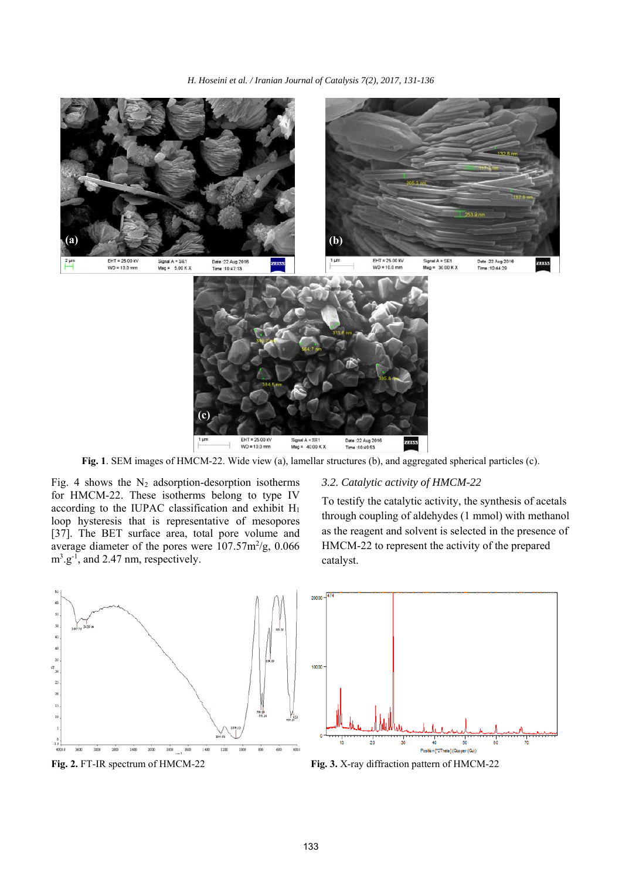

**Fig. 1**. SEM images of HMCM-22. Wide view (a), lamellar structures (b), and aggregated spherical particles (c).

Fig. 4 shows the  $N_2$  adsorption-desorption isotherms for HMCM-22. These isotherms belong to type IV according to the IUPAC classification and exhibit H1 loop hysteresis that is representative of mesopores [37]. The BET surface area, total pore volume and average diameter of the pores were  $107.57 \text{m}^2/\text{g}$ , 0.066  $m^3 \text{.} g^{-1}$ , and 2.47 nm, respectively.

## *3.2. Catalytic activity of HMCM-22*

To testify the catalytic activity, the synthesis of acetals through coupling of aldehydes (1 mmol) with methanol as the reagent and solvent is selected in the presence of HMCM-22 to represent the activity of the prepared catalyst.



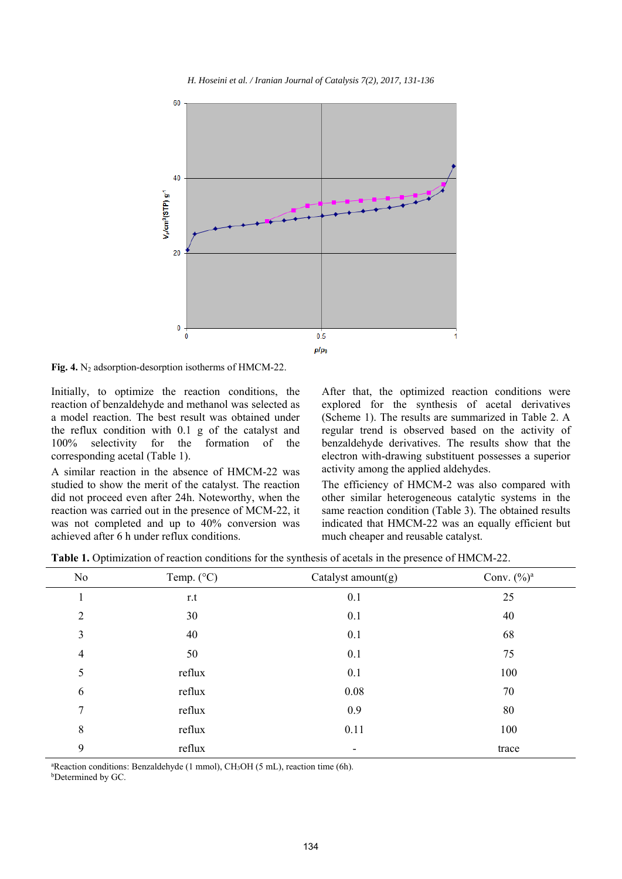

*H. Hoseini et al. / Iranian Journal of Catalysis 7(2), 2017, 131-136* 

Fig. 4. N<sub>2</sub> adsorption-desorption isotherms of HMCM-22.

Initially, to optimize the reaction conditions, the reaction of benzaldehyde and methanol was selected as a model reaction. The best result was obtained under the reflux condition with 0.1 g of the catalyst and 100% selectivity for the formation of the corresponding acetal (Table 1).

A similar reaction in the absence of HMCM-22 was studied to show the merit of the catalyst. The reaction did not proceed even after 24h. Noteworthy, when the reaction was carried out in the presence of MCM-22, it was not completed and up to 40% conversion was achieved after 6 h under reflux conditions.

After that, the optimized reaction conditions were explored for the synthesis of acetal derivatives (Scheme 1). The results are summarized in Table 2. A regular trend is observed based on the activity of benzaldehyde derivatives. The results show that the electron with-drawing substituent possesses a superior activity among the applied aldehydes.

The efficiency of HMCM-2 was also compared with other similar heterogeneous catalytic systems in the same reaction condition (Table 3). The obtained results indicated that HMCM-22 was an equally efficient but much cheaper and reusable catalyst.

**Table 1.** Optimization of reaction conditions for the synthesis of acetals in the presence of HMCM-22.

| No             | Temp. $(^{\circ}C)$ | Catalyst amount(g) | Conv. $(\%)^a$ |
|----------------|---------------------|--------------------|----------------|
| $\bf{I}$       | r.t                 | 0.1                | 25             |
| $\overline{2}$ | 30                  | 0.1                | 40             |
| 3              | 40                  | 0.1                | 68             |
| $\overline{4}$ | 50                  | 0.1                | 75             |
| 5              | reflux              | 0.1                | 100            |
| 6              | reflux              | 0.08               | 70             |
| 7              | reflux              | 0.9                | 80             |
| 8              | reflux              | 0.11               | 100            |
| 9              | reflux              | ۰                  | trace          |

<sup>a</sup>Reaction conditions: Benzaldehyde (1 mmol), CH<sub>3</sub>OH (5 mL), reaction time (6h).

b Determined by GC.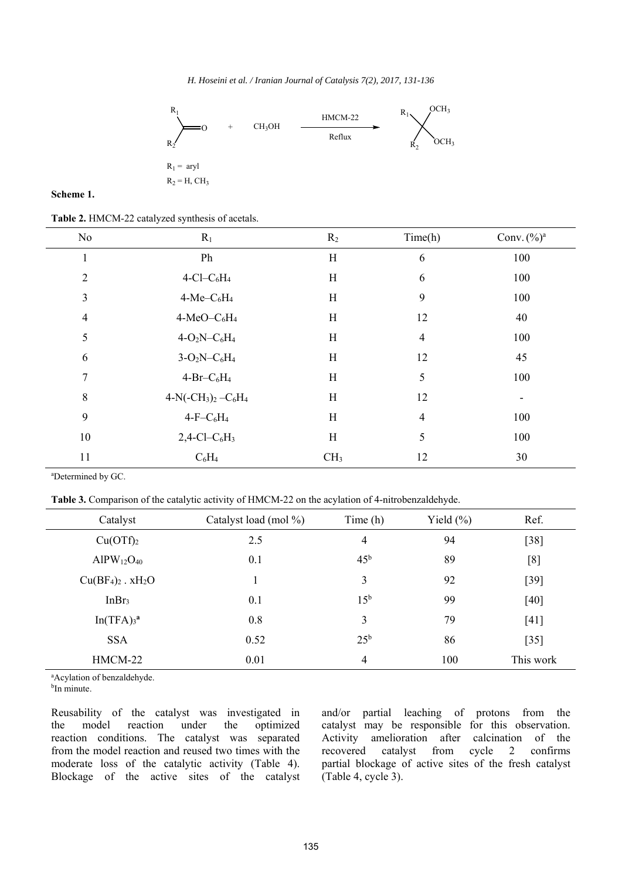*H. Hoseini et al. / Iranian Journal of Catalysis 7(2), 2017, 131-136* 

![](_page_4_Figure_1.jpeg)

#### **Scheme 1.**

**Table 2.** HMCM-22 catalyzed synthesis of acetals.

| No             | $R_1$                                   | R <sub>2</sub>  | Time(h)        | Conv. $(\%)^a$ |
|----------------|-----------------------------------------|-----------------|----------------|----------------|
| 1              | Ph                                      | H               | 6              | 100            |
| $\overline{2}$ | $4$ -Cl-C <sub>6</sub> H <sub>4</sub>   | H               | 6              | 100            |
| 3              | $4-Me-C6H4$                             | H               | 9              | 100            |
| $\overline{4}$ | $4-MeO-C6H4$                            | H               | 12             | 40             |
| 5              | $4-O2N-C6H4$                            | H               | $\overline{4}$ | 100            |
| 6              | $3-O_2N-C_6H_4$                         | H               | 12             | 45             |
| 7              | $4-Br-C6H4$                             | H               | 5              | 100            |
| 8              | $4-N(-CH_3)_2-C_6H_4$                   | H               | 12             |                |
| 9              | $4-F-C6H4$                              | H               | $\overline{4}$ | 100            |
| 10             | $2,4$ -Cl-C <sub>6</sub> H <sub>3</sub> | H               | 5              | 100            |
| 11             | $C_6H_4$                                | CH <sub>3</sub> | 12             | 30             |

a Determined by GC.

**Table 3.** Comparison of the catalytic activity of HMCM-22 on the acylation of 4-nitrobenzaldehyde.

| Catalyst                          | Catalyst load (mol %) | Time $(h)$      | Yield $(\% )$ | Ref.      |
|-----------------------------------|-----------------------|-----------------|---------------|-----------|
| Cu(OTf) <sub>2</sub>              | 2.5                   | $\overline{4}$  | 94            | $[38]$    |
| $AlPW_{12}O_{40}$                 | 0.1                   | 45 <sup>b</sup> | 89            | [8]       |
| $Cu(BF4)2$ . xH <sub>2</sub> O    |                       | 3               | 92            | $[39]$    |
| InBr <sub>3</sub>                 | 0.1                   | 15 <sup>b</sup> | 99            | [40]      |
| In(TFA) <sub>3</sub> <sup>a</sup> | 0.8                   | 3               | 79            | $[41]$    |
| <b>SSA</b>                        | 0.52                  | $25^{\rm b}$    | 86            | $[35]$    |
| HMCM-22                           | 0.01                  | $\overline{4}$  | 100           | This work |

a Acylation of benzaldehyde.

<sup>b</sup>In minute.

Reusability of the catalyst was investigated in the model reaction under the optimized reaction conditions. The catalyst was separated from the model reaction and reused two times with the moderate loss of the catalytic activity (Table 4). Blockage of the active sites of the catalyst and/or partial leaching of protons from the catalyst may be responsible for this observation. Activity amelioration after calcination of the recovered catalyst from cycle 2 confirms partial blockage of active sites of the fresh catalyst (Table 4, cycle 3).